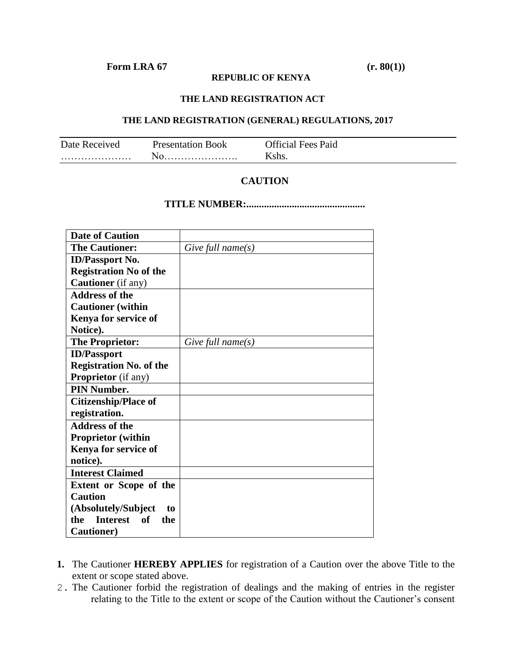## **Form LRA** 67 (r. 80(1))

#### **REPUBLIC OF KENYA**

#### **THE LAND REGISTRATION ACT**

### **THE LAND REGISTRATION (GENERAL) REGULATIONS, 2017**

| Date Received | <b>Presentation Book</b> | <b>Official Fees Paid</b> |
|---------------|--------------------------|---------------------------|
|               |                          | . she                     |

## **CAUTION**

### **TITLE NUMBER:...............................................**

| <b>Date of Caution</b>                     |                   |
|--------------------------------------------|-------------------|
| <b>The Cautioner:</b>                      | Give full name(s) |
| <b>ID/Passport No.</b>                     |                   |
| <b>Registration No of the</b>              |                   |
| <b>Cautioner</b> (if any)                  |                   |
| <b>Address of the</b>                      |                   |
| <b>Cautioner</b> (within                   |                   |
| Kenya for service of                       |                   |
| Notice).                                   |                   |
| <b>The Proprietor:</b>                     | Give full name(s) |
| <b>ID/Passport</b>                         |                   |
| <b>Registration No. of the</b>             |                   |
| <b>Proprietor</b> (if any)                 |                   |
| <b>PIN Number.</b>                         |                   |
| <b>Citizenship/Place of</b>                |                   |
| registration.                              |                   |
| <b>Address of the</b>                      |                   |
| <b>Proprietor</b> (within                  |                   |
| Kenya for service of                       |                   |
| notice).                                   |                   |
| <b>Interest Claimed</b>                    |                   |
| <b>Extent or Scope of the</b>              |                   |
| <b>Caution</b>                             |                   |
| (Absolutely/Subject<br>to                  |                   |
| <b>Interest</b><br><b>of</b><br>the<br>the |                   |
| <b>Cautioner</b> )                         |                   |

- **1.** The Cautioner **HEREBY APPLIES** for registration of a Caution over the above Title to the extent or scope stated above.
- 2. The Cautioner forbid the registration of dealings and the making of entries in the register relating to the Title to the extent or scope of the Caution without the Cautioner's consent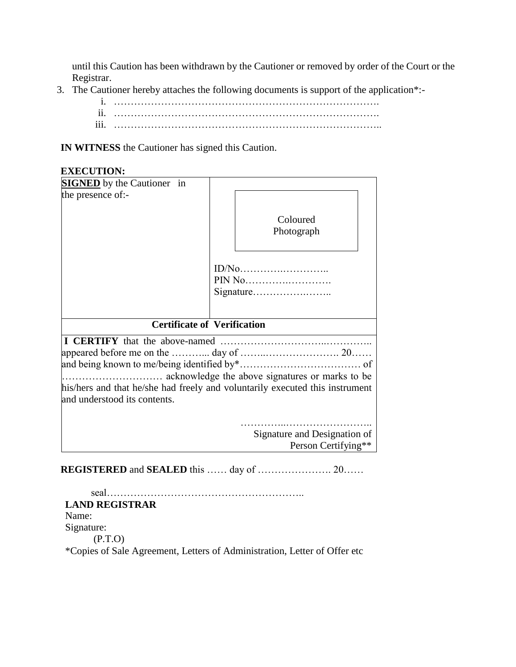until this Caution has been withdrawn by the Cautioner or removed by order of the Court or the Registrar.

3. The Cautioner hereby attaches the following documents is support of the application\*:-

| . .<br>11.       |  |
|------------------|--|
| $\cdots$<br>111. |  |

**IN WITNESS** the Cautioner has signed this Caution.

# **EXECUTION:**

| <b>SIGNED</b> by the Cautioner in                                            |  |                              |  |  |  |
|------------------------------------------------------------------------------|--|------------------------------|--|--|--|
| the presence of:-                                                            |  |                              |  |  |  |
|                                                                              |  | Coloured                     |  |  |  |
|                                                                              |  | Photograph                   |  |  |  |
|                                                                              |  |                              |  |  |  |
|                                                                              |  | PIN No                       |  |  |  |
|                                                                              |  |                              |  |  |  |
|                                                                              |  |                              |  |  |  |
| <b>Certificate of Verification</b>                                           |  |                              |  |  |  |
|                                                                              |  |                              |  |  |  |
|                                                                              |  |                              |  |  |  |
|                                                                              |  |                              |  |  |  |
|                                                                              |  |                              |  |  |  |
| his/hers and that he/she had freely and voluntarily executed this instrument |  |                              |  |  |  |
| and understood its contents.                                                 |  |                              |  |  |  |
|                                                                              |  |                              |  |  |  |
|                                                                              |  | Signature and Designation of |  |  |  |
|                                                                              |  | Person Certifying**          |  |  |  |
|                                                                              |  |                              |  |  |  |

**REGISTERED** and **SEALED** this …… day of …………………. 20……

| seal                                                                      |
|---------------------------------------------------------------------------|
| <b>LAND REGISTRAR</b>                                                     |
| Name:                                                                     |
| Signature:                                                                |
| (P.T.O)                                                                   |
| *Copies of Sale Agreement, Letters of Administration, Letter of Offer etc |